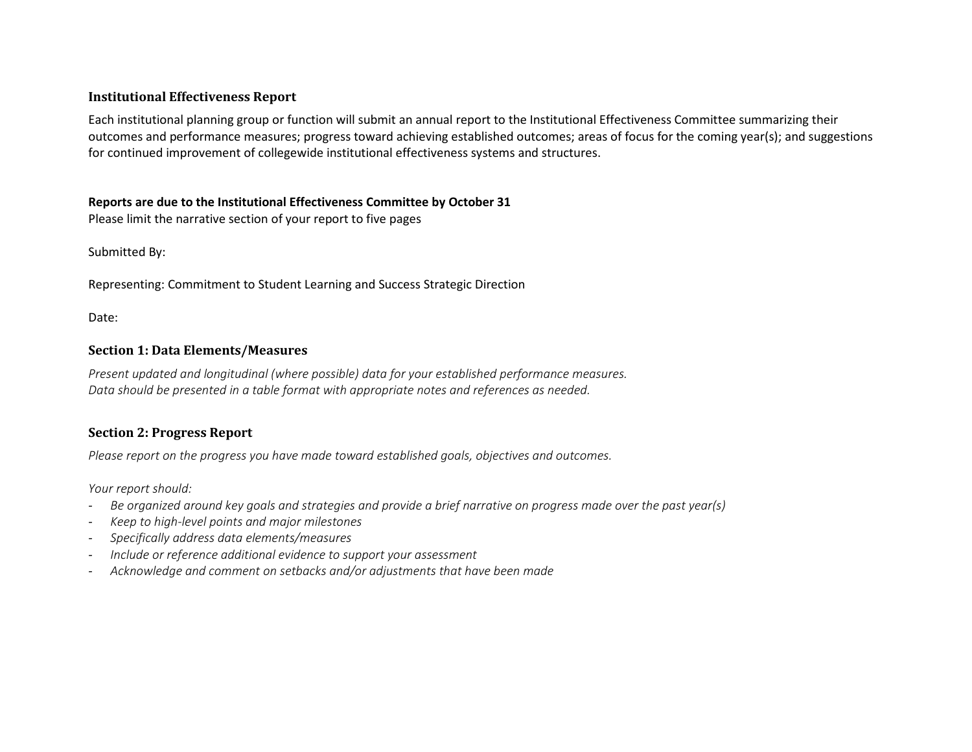## **Institutional Effectiveness Report**

Each institutional planning group or function will submit an annual report to the Institutional Effectiveness Committee summarizing their outcomes and performance measures; progress toward achieving established outcomes; areas of focus for the coming year(s); and suggestions for continued improvement of collegewide institutional effectiveness systems and structures.

#### **Reports are due to the Institutional Effectiveness Committee by October 31**

Please limit the narrative section of your report to five pages

Submitted By:

Representing: Commitment to Student Learning and Success Strategic Direction

Date:

## **Section 1: Data Elements/Measures**

*Present updated and longitudinal (where possible) data for your established performance measures. Data should be presented in a table format with appropriate notes and references as needed.* 

# **Section 2: Progress Report**

*Please report on the progress you have made toward established goals, objectives and outcomes.*

*Your report should:*

- *- Be organized around key goals and strategies and provide a brief narrative on progress made over the past year(s)*
- *- Keep to high-level points and major milestones*
- *- Specifically address data elements/measures*
- *- Include or reference additional evidence to support your assessment*
- *- Acknowledge and comment on setbacks and/or adjustments that have been made*